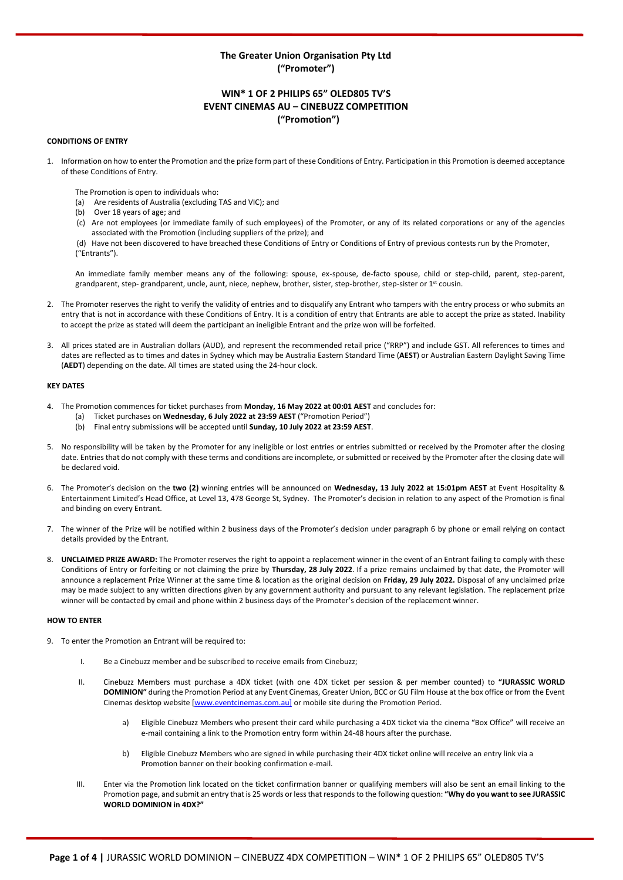# **The Greater Union Organisation Pty Ltd ("Promoter")**

# **WIN\* 1 OF 2 PHILIPS 65" OLED805 TV'S EVENT CINEMAS AU – CINEBUZZ COMPETITION ("Promotion")**

### **CONDITIONS OF ENTRY**

- 1. Information on how to enter the Promotion and the prize form part of these Conditions of Entry. Participation in this Promotion is deemed acceptance of these Conditions of Entry.
	- The Promotion is open to individuals who:
	- (a) Are residents of Australia (excluding TAS and VIC); and
	- (b) Over 18 years of age; and
	- (c) Are not employees (or immediate family of such employees) of the Promoter, or any of its related corporations or any of the agencies associated with the Promotion (including suppliers of the prize); and
	- (d) Have not been discovered to have breached these Conditions of Entry or Conditions of Entry of previous contests run by the Promoter, ("Entrants").

An immediate family member means any of the following: spouse, ex-spouse, de-facto spouse, child or step-child, parent, step-parent, grandparent, step- grandparent, uncle, aunt, niece, nephew, brother, sister, step-brother, step-sister or 1st cousin.

- 2. The Promoter reserves the right to verify the validity of entries and to disqualify any Entrant who tampers with the entry process or who submits an entry that is not in accordance with these Conditions of Entry. It is a condition of entry that Entrants are able to accept the prize as stated. Inability to accept the prize as stated will deem the participant an ineligible Entrant and the prize won will be forfeited.
- 3. All prices stated are in Australian dollars (AUD), and represent the recommended retail price ("RRP") and include GST. All references to times and dates are reflected as to times and dates in Sydney which may be Australia Eastern Standard Time (**AEST**) or Australian Eastern Daylight Saving Time (**AEDT**) depending on the date. All times are stated using the 24-hour clock.

## **KEY DATES**

- 4. The Promotion commences for ticket purchases from **Monday, 16 May 2022 at 00:01 AEST** and concludes for:
	- (a) Ticket purchases on **Wednesday, 6 July 2022 at 23:59 AEST** ("Promotion Period")
	- (b) Final entry submissions will be accepted until **Sunday, 10 July 2022 at 23:59 AEST**.
- 5. No responsibility will be taken by the Promoter for any ineligible or lost entries or entries submitted or received by the Promoter after the closing date. Entries that do not comply with these terms and conditions are incomplete, or submitted or received by the Promoter after the closing date will be declared void.
- 6. The Promoter's decision on the **two (2)** winning entries will be announced on **Wednesday, 13 July 2022 at 15:01pm AEST** at Event Hospitality & Entertainment Limited's Head Office, at Level 13, 478 George St, Sydney. The Promoter's decision in relation to any aspect of the Promotion is final and binding on every Entrant.
- 7. The winner of the Prize will be notified within 2 business days of the Promoter's decision under paragraph 6 by phone or email relying on contact details provided by the Entrant.
- 8. **UNCLAIMED PRIZE AWARD:** The Promoter reserves the right to appoint a replacement winner in the event of an Entrant failing to comply with these Conditions of Entry or forfeiting or not claiming the prize by **Thursday, 28 July 2022**. If a prize remains unclaimed by that date, the Promoter will announce a replacement Prize Winner at the same time & location as the original decision on **Friday, 29 July 2022.** Disposal of any unclaimed prize may be made subject to any written directions given by any government authority and pursuant to any relevant legislation. The replacement prize winner will be contacted by email and phone within 2 business days of the Promoter's decision of the replacement winner.

### **HOW TO ENTER**

- 9. To enter the Promotion an Entrant will be required to:
	- I. Be a Cinebuzz member and be subscribed to receive emails from Cinebuzz;
	- II. Cinebuzz Members must purchase a 4DX ticket (with one 4DX ticket per session & per member counted) to **"JURASSIC WORLD DOMINION"** during the Promotion Period at any Event Cinemas, Greater Union, BCC or GU Film House at the box office or from the Event Cinemas desktop website [\[www.even](http://www.eve/)tcinemas.com.au] or mobile site during the Promotion Period.
		- a) Eligible Cinebuzz Members who present their card while purchasing a 4DX ticket via the cinema "Box Office" will receive an e-mail containing a link to the Promotion entry form within 24-48 hours after the purchase.
		- b) Eligible Cinebuzz Members who are signed in while purchasing their 4DX ticket online will receive an entry link via a Promotion banner on their booking confirmation e-mail.
	- III. Enter via the Promotion link located on the ticket confirmation banner or qualifying members will also be sent an email linking to the Promotion page, and submit an entry that is 25 words or less that responds to the following question: **"Why do you want to see JURASSIC WORLD DOMINION in 4DX?"**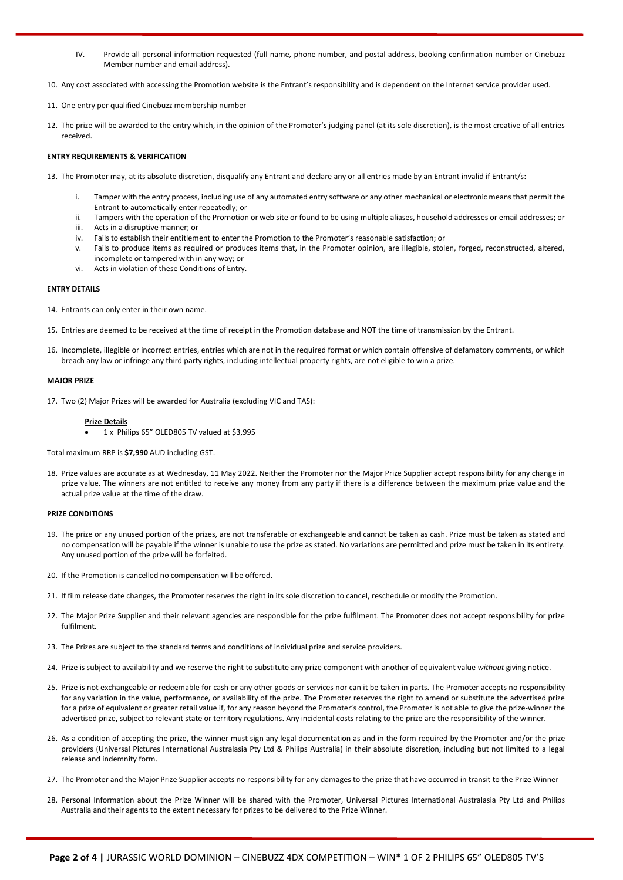- IV. Provide all personal information requested (full name, phone number, and postal address, booking confirmation number or Cinebuzz Member number and email address).
- 10. Any cost associated with accessing the Promotion website is the Entrant's responsibility and is dependent on the Internet service provider used.
- 11. One entry per qualified Cinebuzz membership number
- 12. The prize will be awarded to the entry which, in the opinion of the Promoter's judging panel (at its sole discretion), is the most creative of all entries received.

## **ENTRY REQUIREMENTS & VERIFICATION**

- 13. The Promoter may, at its absolute discretion, disqualify any Entrant and declare any or all entries made by an Entrant invalid if Entrant/s:
	- i. Tamper with the entry process, including use of any automated entry software or any other mechanical or electronic means that permit the Entrant to automatically enter repeatedly; or
	- ii. Tampers with the operation of the Promotion or web site or found to be using multiple aliases, household addresses or email addresses; or iii. Acts in a disruptive manner; or
	- iv. Fails to establish their entitlement to enter the Promotion to the Promoter's reasonable satisfaction; or
	- v. Fails to produce items as required or produces items that, in the Promoter opinion, are illegible, stolen, forged, reconstructed, altered, incomplete or tampered with in any way; or
	- vi. Acts in violation of these Conditions of Entry.

## **ENTRY DETAILS**

- 14. Entrants can only enter in their own name.
- 15. Entries are deemed to be received at the time of receipt in the Promotion database and NOT the time of transmission by the Entrant.
- 16. Incomplete, illegible or incorrect entries, entries which are not in the required format or which contain offensive of defamatory comments, or which breach any law or infringe any third party rights, including intellectual property rights, are not eligible to win a prize.

## **MAJOR PRIZE**

17. Two (2) Major Prizes will be awarded for Australia (excluding VIC and TAS):

### **Prize Details**

1 x Philips 65" OLED805 TV valued at \$3,995

Total maximum RRP is **\$7,990** AUD including GST.

18. Prize values are accurate as at Wednesday, 11 May 2022. Neither the Promoter nor the Major Prize Supplier accept responsibility for any change in prize value. The winners are not entitled to receive any money from any party if there is a difference between the maximum prize value and the actual prize value at the time of the draw.

### **PRIZE CONDITIONS**

- 19. The prize or any unused portion of the prizes, are not transferable or exchangeable and cannot be taken as cash. Prize must be taken as stated and no compensation will be payable if the winner is unable to use the prize as stated. No variations are permitted and prize must be taken in its entirety. Any unused portion of the prize will be forfeited.
- 20. If the Promotion is cancelled no compensation will be offered.
- 21. If film release date changes, the Promoter reserves the right in its sole discretion to cancel, reschedule or modify the Promotion.
- 22. The Major Prize Supplier and their relevant agencies are responsible for the prize fulfilment. The Promoter does not accept responsibility for prize fulfilment.
- 23. The Prizes are subject to the standard terms and conditions of individual prize and service providers.
- 24. Prize is subject to availability and we reserve the right to substitute any prize component with another of equivalent value *without* giving notice.
- 25. Prize is not exchangeable or redeemable for cash or any other goods or services nor can it be taken in parts. The Promoter accepts no responsibility for any variation in the value, performance, or availability of the prize. The Promoter reserves the right to amend or substitute the advertised prize for a prize of equivalent or greater retail value if, for any reason beyond the Promoter's control, the Promoter is not able to give the prize-winner the advertised prize, subject to relevant state or territory regulations. Any incidental costs relating to the prize are the responsibility of the winner.
- 26. As a condition of accepting the prize, the winner must sign any legal documentation as and in the form required by the Promoter and/or the prize providers (Universal Pictures International Australasia Pty Ltd & Philips Australia) in their absolute discretion, including but not limited to a legal release and indemnity form.
- 27. The Promoter and the Major Prize Supplier accepts no responsibility for any damages to the prize that have occurred in transit to the Prize Winner
- 28. Personal Information about the Prize Winner will be shared with the Promoter, Universal Pictures International Australasia Pty Ltd and Philips Australia and their agents to the extent necessary for prizes to be delivered to the Prize Winner.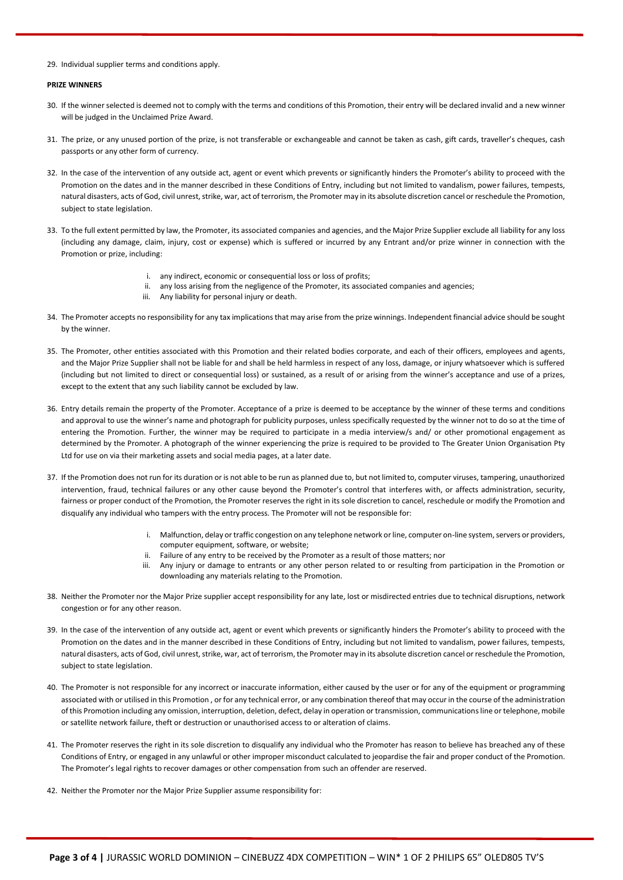29. Individual supplier terms and conditions apply.

## **PRIZE WINNERS**

- 30. If the winner selected is deemed not to comply with the terms and conditions of this Promotion, their entry will be declared invalid and a new winner will be judged in the Unclaimed Prize Award.
- 31. The prize, or any unused portion of the prize, is not transferable or exchangeable and cannot be taken as cash, gift cards, traveller's cheques, cash passports or any other form of currency.
- 32. In the case of the intervention of any outside act, agent or event which prevents or significantly hinders the Promoter's ability to proceed with the Promotion on the dates and in the manner described in these Conditions of Entry, including but not limited to vandalism, power failures, tempests, natural disasters, acts of God, civil unrest, strike, war, act of terrorism, the Promoter may in its absolute discretion cancel or reschedule the Promotion, subject to state legislation.
- 33. To the full extent permitted by law, the Promoter, its associated companies and agencies, and the Major Prize Supplier exclude all liability for any loss (including any damage, claim, injury, cost or expense) which is suffered or incurred by any Entrant and/or prize winner in connection with the Promotion or prize, including:
	- i. any indirect, economic or consequential loss or loss of profits;
	- ii. any loss arising from the negligence of the Promoter, its associated companies and agencies;
	- iii. Any liability for personal injury or death.
- 34. The Promoter accepts no responsibility for any tax implications that may arise from the prize winnings. Independent financial advice should be sought by the winner.
- 35. The Promoter, other entities associated with this Promotion and their related bodies corporate, and each of their officers, employees and agents, and the Major Prize Supplier shall not be liable for and shall be held harmless in respect of any loss, damage, or injury whatsoever which is suffered (including but not limited to direct or consequential loss) or sustained, as a result of or arising from the winner's acceptance and use of a prizes, except to the extent that any such liability cannot be excluded by law.
- 36. Entry details remain the property of the Promoter. Acceptance of a prize is deemed to be acceptance by the winner of these terms and conditions and approval to use the winner's name and photograph for publicity purposes, unless specifically requested by the winner not to do so at the time of entering the Promotion. Further, the winner may be required to participate in a media interview/s and/ or other promotional engagement as determined by the Promoter. A photograph of the winner experiencing the prize is required to be provided to The Greater Union Organisation Pty Ltd for use on via their marketing assets and social media pages, at a later date.
- 37. If the Promotion does not run for its duration or is not able to be run as planned due to, but not limited to, computer viruses, tampering, unauthorized intervention, fraud, technical failures or any other cause beyond the Promoter's control that interferes with, or affects administration, security, fairness or proper conduct of the Promotion, the Promoter reserves the right in its sole discretion to cancel, reschedule or modify the Promotion and disqualify any individual who tampers with the entry process. The Promoter will not be responsible for:
	- i. Malfunction, delay or traffic congestion on any telephone network or line, computer on-line system, servers or providers, computer equipment, software, or website;
	- ii. Failure of any entry to be received by the Promoter as a result of those matters; nor
	- iii. Any injury or damage to entrants or any other person related to or resulting from participation in the Promotion or downloading any materials relating to the Promotion.
- 38. Neither the Promoter nor the Major Prize supplier accept responsibility for any late, lost or misdirected entries due to technical disruptions, network congestion or for any other reason.
- 39. In the case of the intervention of any outside act, agent or event which prevents or significantly hinders the Promoter's ability to proceed with the Promotion on the dates and in the manner described in these Conditions of Entry, including but not limited to vandalism, power failures, tempests, natural disasters, acts of God, civil unrest, strike, war, act of terrorism, the Promoter may in its absolute discretion cancel or reschedule the Promotion, subject to state legislation.
- 40. The Promoter is not responsible for any incorrect or inaccurate information, either caused by the user or for any of the equipment or programming associated with or utilised in this Promotion , or for any technical error, or any combination thereof that may occur in the course of the administration of this Promotion including any omission, interruption, deletion, defect, delay in operation or transmission, communications line or telephone, mobile or satellite network failure, theft or destruction or unauthorised access to or alteration of claims.
- 41. The Promoter reserves the right in its sole discretion to disqualify any individual who the Promoter has reason to believe has breached any of these Conditions of Entry, or engaged in any unlawful or other improper misconduct calculated to jeopardise the fair and proper conduct of the Promotion. The Promoter's legal rights to recover damages or other compensation from such an offender are reserved.
- 42. Neither the Promoter nor the Major Prize Supplier assume responsibility for: